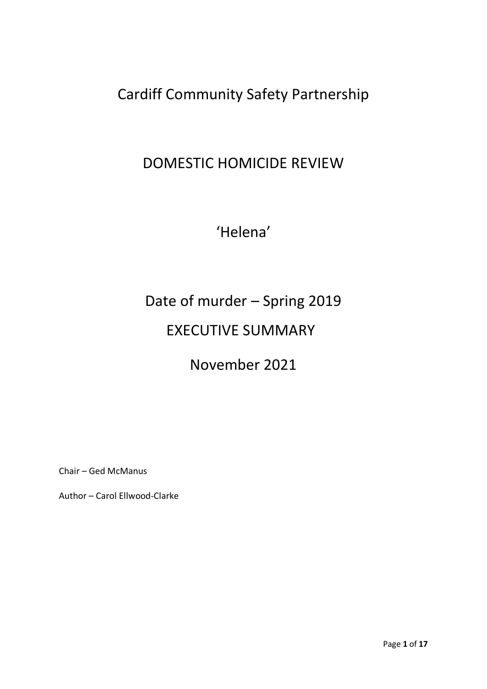Cardiff Community Safety Partnership

# DOMESTIC HOMICIDE REVIEW

'Helena'

# Date of murder – Spring 2019 EXECUTIVE SUMMARY

# November 2021

Chair – Ged McManus

Author – Carol Ellwood-Clarke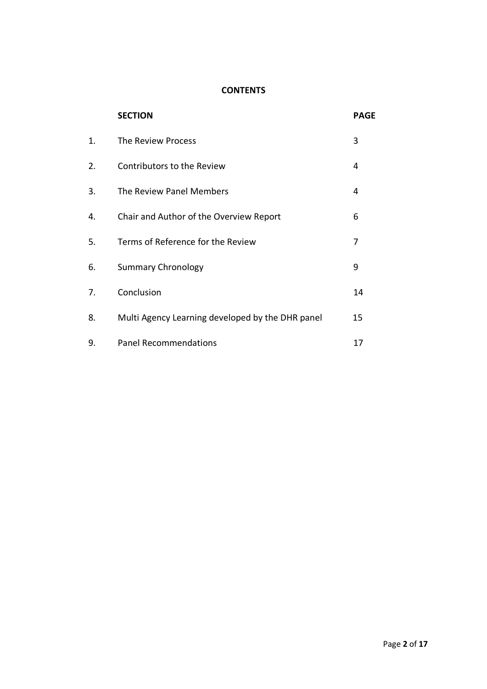# **CONTENTS**

|    | <b>SECTION</b>                                   | <b>PAGE</b> |
|----|--------------------------------------------------|-------------|
| 1. | The Review Process                               | 3           |
| 2. | Contributors to the Review                       | 4           |
| 3. | The Review Panel Members                         | 4           |
| 4. | Chair and Author of the Overview Report          | 6           |
| 5. | Terms of Reference for the Review                | 7           |
| 6. | <b>Summary Chronology</b>                        | 9           |
| 7. | Conclusion                                       | 14          |
| 8. | Multi Agency Learning developed by the DHR panel | 15          |
| 9. | <b>Panel Recommendations</b>                     | 17          |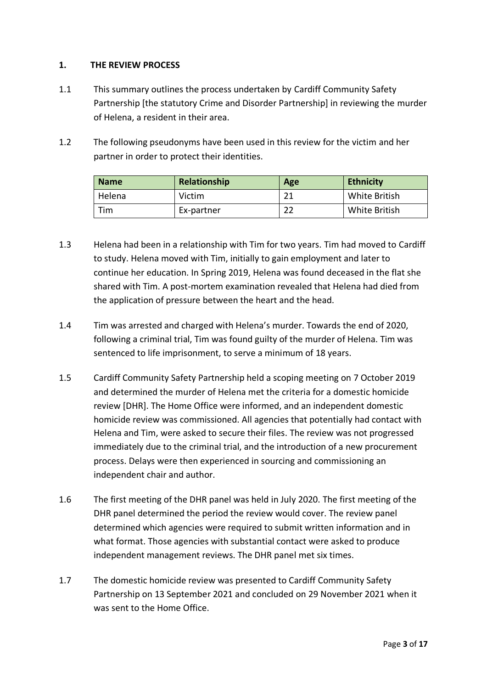#### **1. THE REVIEW PROCESS**

- 1.1 This summary outlines the process undertaken by Cardiff Community Safety Partnership [the statutory Crime and Disorder Partnership] in reviewing the murder of Helena, a resident in their area.
- 1.2 The following pseudonyms have been used in this review for the victim and her partner in order to protect their identities.

| <b>Name</b> | Relationship | Age | <b>Ethnicity</b> |
|-------------|--------------|-----|------------------|
| Helena      | Victim       | ີ 1 | White British    |
| Tim         | Ex-partner   |     | White British    |

- 1.3 Helena had been in a relationship with Tim for two years. Tim had moved to Cardiff to study. Helena moved with Tim, initially to gain employment and later to continue her education. In Spring 2019, Helena was found deceased in the flat she shared with Tim. A post-mortem examination revealed that Helena had died from the application of pressure between the heart and the head.
- 1.4 Tim was arrested and charged with Helena's murder. Towards the end of 2020, following a criminal trial, Tim was found guilty of the murder of Helena. Tim was sentenced to life imprisonment, to serve a minimum of 18 years.
- 1.5 Cardiff Community Safety Partnership held a scoping meeting on 7 October 2019 and determined the murder of Helena met the criteria for a domestic homicide review [DHR]. The Home Office were informed, and an independent domestic homicide review was commissioned. All agencies that potentially had contact with Helena and Tim, were asked to secure their files. The review was not progressed immediately due to the criminal trial, and the introduction of a new procurement process. Delays were then experienced in sourcing and commissioning an independent chair and author.
- 1.6 The first meeting of the DHR panel was held in July 2020. The first meeting of the DHR panel determined the period the review would cover. The review panel determined which agencies were required to submit written information and in what format. Those agencies with substantial contact were asked to produce independent management reviews. The DHR panel met six times.
- 1.7 The domestic homicide review was presented to Cardiff Community Safety Partnership on 13 September 2021 and concluded on 29 November 2021 when it was sent to the Home Office.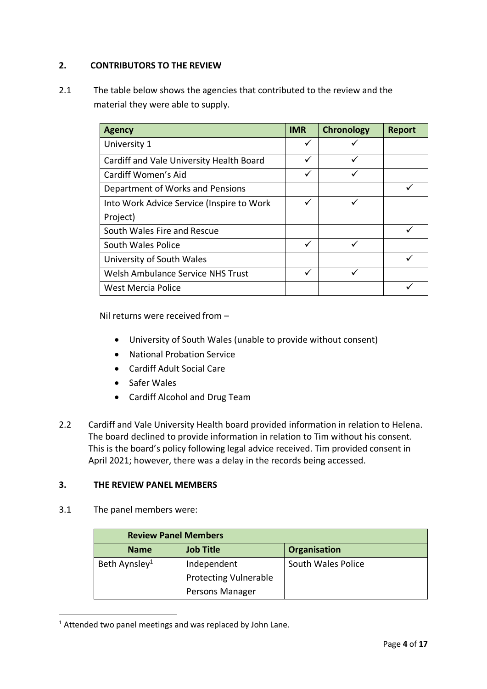## **2. CONTRIBUTORS TO THE REVIEW**

2.1 The table below shows the agencies that contributed to the review and the material they were able to supply.

| <b>Agency</b>                             | <b>IMR</b> | <b>Chronology</b> | <b>Report</b> |
|-------------------------------------------|------------|-------------------|---------------|
| University 1                              |            |                   |               |
| Cardiff and Vale University Health Board  |            |                   |               |
| Cardiff Women's Aid                       |            | ✓                 |               |
| Department of Works and Pensions          |            |                   |               |
| Into Work Advice Service (Inspire to Work |            |                   |               |
| Project)                                  |            |                   |               |
| South Wales Fire and Rescue               |            |                   |               |
| South Wales Police                        |            |                   |               |
| University of South Wales                 |            |                   |               |
| Welsh Ambulance Service NHS Trust         |            |                   |               |
| <b>West Mercia Police</b>                 |            |                   |               |

Nil returns were received from –

- University of South Wales (unable to provide without consent)
- National Probation Service
- Cardiff Adult Social Care
- Safer Wales
- Cardiff Alcohol and Drug Team
- 2.2 Cardiff and Vale University Health board provided information in relation to Helena. The board declined to provide information in relation to Tim without his consent. This is the board's policy following legal advice received. Tim provided consent in April 2021; however, there was a delay in the records being accessed.

## **3. THE REVIEW PANEL MEMBERS**

3.1 The panel members were:

| <b>Review Panel Members</b> |                              |                     |  |  |  |
|-----------------------------|------------------------------|---------------------|--|--|--|
| <b>Name</b>                 | <b>Job Title</b>             | <b>Organisation</b> |  |  |  |
| Beth Aynsley <sup>1</sup>   | Independent                  | South Wales Police  |  |  |  |
|                             | <b>Protecting Vulnerable</b> |                     |  |  |  |
|                             | Persons Manager              |                     |  |  |  |

 $1$  Attended two panel meetings and was replaced by John Lane.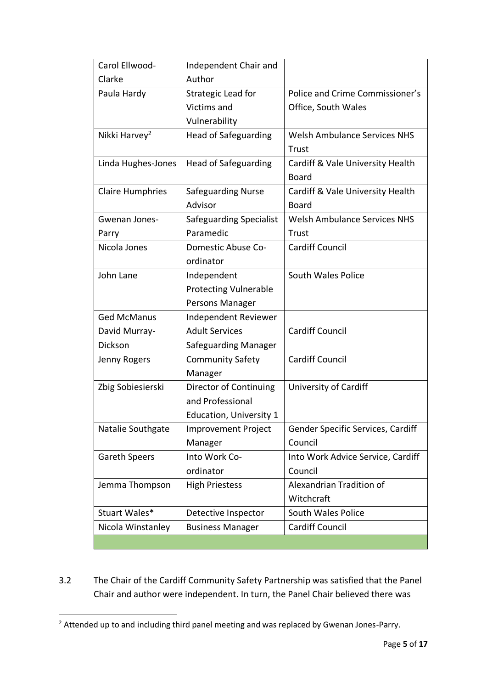| Carol Ellwood-            | Independent Chair and          |                                     |
|---------------------------|--------------------------------|-------------------------------------|
| Clarke                    | Author                         |                                     |
| Paula Hardy               | Strategic Lead for             | Police and Crime Commissioner's     |
|                           | Victims and                    | Office, South Wales                 |
|                           | Vulnerability                  |                                     |
| Nikki Harvey <sup>2</sup> | <b>Head of Safeguarding</b>    | <b>Welsh Ambulance Services NHS</b> |
|                           |                                | Trust                               |
| Linda Hughes-Jones        | <b>Head of Safeguarding</b>    | Cardiff & Vale University Health    |
|                           |                                | <b>Board</b>                        |
| <b>Claire Humphries</b>   | <b>Safeguarding Nurse</b>      | Cardiff & Vale University Health    |
|                           | Advisor                        | <b>Board</b>                        |
| Gwenan Jones-             | Safeguarding Specialist        | <b>Welsh Ambulance Services NHS</b> |
| Parry                     | Paramedic                      | Trust                               |
| Nicola Jones              | Domestic Abuse Co-             | <b>Cardiff Council</b>              |
|                           | ordinator                      |                                     |
| John Lane                 | Independent                    | South Wales Police                  |
|                           | <b>Protecting Vulnerable</b>   |                                     |
|                           | Persons Manager                |                                     |
| <b>Ged McManus</b>        | Independent Reviewer           |                                     |
| David Murray-             | <b>Adult Services</b>          | <b>Cardiff Council</b>              |
| Dickson                   | Safeguarding Manager           |                                     |
| Jenny Rogers              | <b>Community Safety</b>        | <b>Cardiff Council</b>              |
|                           | Manager                        |                                     |
| Zbig Sobiesierski         | Director of Continuing         | University of Cardiff               |
|                           | and Professional               |                                     |
|                           | <b>Education, University 1</b> |                                     |
| Natalie Southgate         | <b>Improvement Project</b>     | Gender Specific Services, Cardiff   |
|                           | Manager                        | Council                             |
| <b>Gareth Speers</b>      | Into Work Co-                  | Into Work Advice Service, Cardiff   |
|                           | ordinator                      | Council                             |
| Jemma Thompson            | <b>High Priestess</b>          | Alexandrian Tradition of            |
|                           |                                | Witchcraft                          |
| Stuart Wales*             | Detective Inspector            | South Wales Police                  |
| Nicola Winstanley         | <b>Business Manager</b>        | <b>Cardiff Council</b>              |
|                           |                                |                                     |

3.2 The Chair of the Cardiff Community Safety Partnership was satisfied that the Panel Chair and author were independent. In turn, the Panel Chair believed there was

<sup>&</sup>lt;sup>2</sup> Attended up to and including third panel meeting and was replaced by Gwenan Jones-Parry.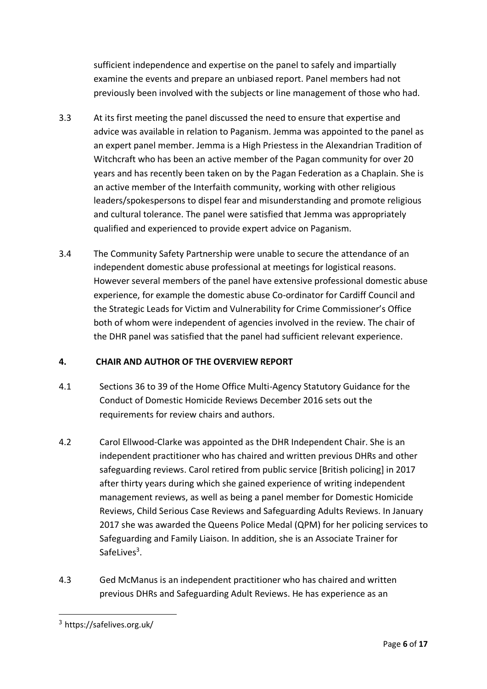sufficient independence and expertise on the panel to safely and impartially examine the events and prepare an unbiased report. Panel members had not previously been involved with the subjects or line management of those who had.

- 3.3 At its first meeting the panel discussed the need to ensure that expertise and advice was available in relation to Paganism. Jemma was appointed to the panel as an expert panel member. Jemma is a High Priestess in the Alexandrian Tradition of Witchcraft who has been an active member of the Pagan community for over 20 years and has recently been taken on by the Pagan Federation as a Chaplain. She is an active member of the Interfaith community, working with other religious leaders/spokespersons to dispel fear and misunderstanding and promote religious and cultural tolerance. The panel were satisfied that Jemma was appropriately qualified and experienced to provide expert advice on Paganism.
- 3.4 The Community Safety Partnership were unable to secure the attendance of an independent domestic abuse professional at meetings for logistical reasons. However several members of the panel have extensive professional domestic abuse experience, for example the domestic abuse Co-ordinator for Cardiff Council and the Strategic Leads for Victim and Vulnerability for Crime Commissioner's Office both of whom were independent of agencies involved in the review. The chair of the DHR panel was satisfied that the panel had sufficient relevant experience.

## **4. CHAIR AND AUTHOR OF THE OVERVIEW REPORT**

- 4.1 Sections 36 to 39 of the Home Office Multi-Agency Statutory Guidance for the Conduct of Domestic Homicide Reviews December 2016 sets out the requirements for review chairs and authors.
- 4.2 Carol Ellwood-Clarke was appointed as the DHR Independent Chair. She is an independent practitioner who has chaired and written previous DHRs and other safeguarding reviews. Carol retired from public service [British policing] in 2017 after thirty years during which she gained experience of writing independent management reviews, as well as being a panel member for Domestic Homicide Reviews, Child Serious Case Reviews and Safeguarding Adults Reviews. In January 2017 she was awarded the Queens Police Medal (QPM) for her policing services to Safeguarding and Family Liaison. In addition, she is an Associate Trainer for SafeLives<sup>3</sup>.
- 4.3 Ged McManus is an independent practitioner who has chaired and written previous DHRs and Safeguarding Adult Reviews. He has experience as an

<sup>3</sup> https://safelives.org.uk/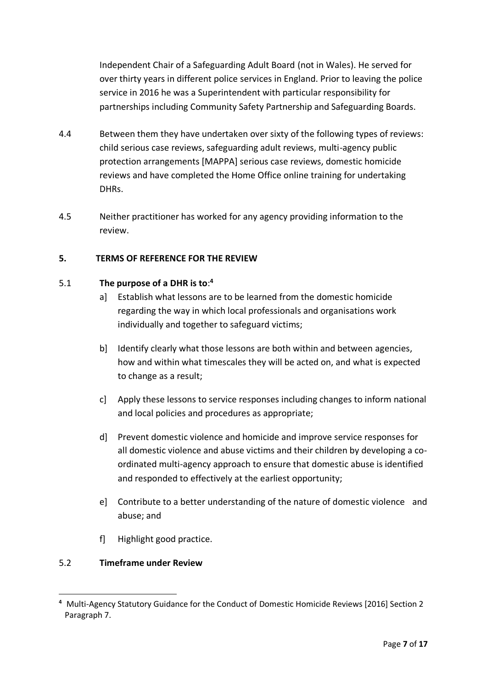Independent Chair of a Safeguarding Adult Board (not in Wales). He served for over thirty years in different police services in England. Prior to leaving the police service in 2016 he was a Superintendent with particular responsibility for partnerships including Community Safety Partnership and Safeguarding Boards.

- 4.4 Between them they have undertaken over sixty of the following types of reviews: child serious case reviews, safeguarding adult reviews, multi-agency public protection arrangements [MAPPA] serious case reviews, domestic homicide reviews and have completed the Home Office online training for undertaking DHRs.
- 4.5 Neither practitioner has worked for any agency providing information to the review.

## **5. TERMS OF REFERENCE FOR THE REVIEW**

#### 5.1 **The purpose of a DHR is to**: **4**

- a] Establish what lessons are to be learned from the domestic homicide regarding the way in which local professionals and organisations work individually and together to safeguard victims;
- b] Identify clearly what those lessons are both within and between agencies, how and within what timescales they will be acted on, and what is expected to change as a result;
- c] Apply these lessons to service responses including changes to inform national and local policies and procedures as appropriate;
- d] Prevent domestic violence and homicide and improve service responses for all domestic violence and abuse victims and their children by developing a coordinated multi-agency approach to ensure that domestic abuse is identified and responded to effectively at the earliest opportunity;
- e] Contribute to a better understanding of the nature of domestic violence and abuse; and
- f] Highlight good practice.

#### 5.2 **Timeframe under Review**

**<sup>4</sup>** Multi-Agency Statutory Guidance for the Conduct of Domestic Homicide Reviews [2016] Section 2 Paragraph 7.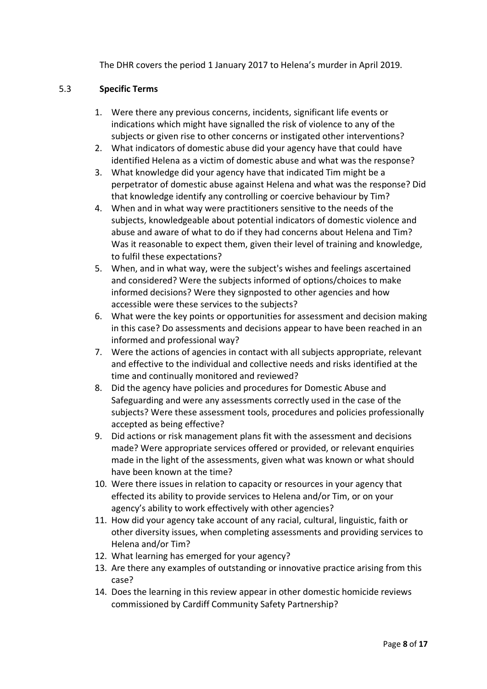The DHR covers the period 1 January 2017 to Helena's murder in April 2019.

#### 5.3 **Specific Terms**

- 1. Were there any previous concerns, incidents, significant life events or indications which might have signalled the risk of violence to any of the subjects or given rise to other concerns or instigated other interventions?
- 2. What indicators of domestic abuse did your agency have that could have identified Helena as a victim of domestic abuse and what was the response?
- 3. What knowledge did your agency have that indicated Tim might be a perpetrator of domestic abuse against Helena and what was the response? Did that knowledge identify any controlling or coercive behaviour by Tim?
- 4. When and in what way were practitioners sensitive to the needs of the subjects, knowledgeable about potential indicators of domestic violence and abuse and aware of what to do if they had concerns about Helena and Tim? Was it reasonable to expect them, given their level of training and knowledge, to fulfil these expectations?
- 5. When, and in what way, were the subject's wishes and feelings ascertained and considered? Were the subjects informed of options/choices to make informed decisions? Were they signposted to other agencies and how accessible were these services to the subjects?
- 6. What were the key points or opportunities for assessment and decision making in this case? Do assessments and decisions appear to have been reached in an informed and professional way?
- 7. Were the actions of agencies in contact with all subjects appropriate, relevant and effective to the individual and collective needs and risks identified at the time and continually monitored and reviewed?
- 8. Did the agency have policies and procedures for Domestic Abuse and Safeguarding and were any assessments correctly used in the case of the subjects? Were these assessment tools, procedures and policies professionally accepted as being effective?
- 9. Did actions or risk management plans fit with the assessment and decisions made? Were appropriate services offered or provided, or relevant enquiries made in the light of the assessments, given what was known or what should have been known at the time?
- 10. Were there issues in relation to capacity or resources in your agency that effected its ability to provide services to Helena and/or Tim, or on your agency's ability to work effectively with other agencies?
- 11. How did your agency take account of any racial, cultural, linguistic, faith or other diversity issues, when completing assessments and providing services to Helena and/or Tim?
- 12. What learning has emerged for your agency?
- 13. Are there any examples of outstanding or innovative practice arising from this case?
- 14. Does the learning in this review appear in other domestic homicide reviews commissioned by Cardiff Community Safety Partnership?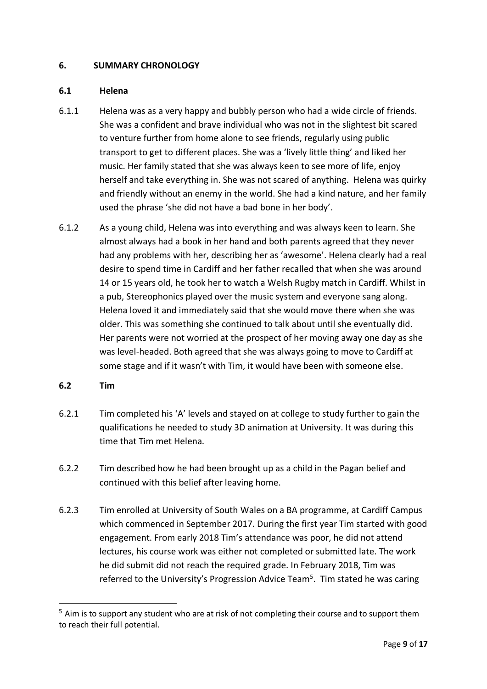#### **6. SUMMARY CHRONOLOGY**

#### **6.1 Helena**

- 6.1.1 Helena was as a very happy and bubbly person who had a wide circle of friends. She was a confident and brave individual who was not in the slightest bit scared to venture further from home alone to see friends, regularly using public transport to get to different places. She was a 'lively little thing' and liked her music. Her family stated that she was always keen to see more of life, enjoy herself and take everything in. She was not scared of anything. Helena was quirky and friendly without an enemy in the world. She had a kind nature, and her family used the phrase 'she did not have a bad bone in her body'.
- 6.1.2 As a young child, Helena was into everything and was always keen to learn. She almost always had a book in her hand and both parents agreed that they never had any problems with her, describing her as 'awesome'. Helena clearly had a real desire to spend time in Cardiff and her father recalled that when she was around 14 or 15 years old, he took her to watch a Welsh Rugby match in Cardiff. Whilst in a pub, Stereophonics played over the music system and everyone sang along. Helena loved it and immediately said that she would move there when she was older. This was something she continued to talk about until she eventually did. Her parents were not worried at the prospect of her moving away one day as she was level-headed. Both agreed that she was always going to move to Cardiff at some stage and if it wasn't with Tim, it would have been with someone else.

#### **6.2 Tim**

- 6.2.1 Tim completed his 'A' levels and stayed on at college to study further to gain the qualifications he needed to study 3D animation at University. It was during this time that Tim met Helena.
- 6.2.2 Tim described how he had been brought up as a child in the Pagan belief and continued with this belief after leaving home.
- 6.2.3 Tim enrolled at University of South Wales on a BA programme, at Cardiff Campus which commenced in September 2017. During the first year Tim started with good engagement. From early 2018 Tim's attendance was poor, he did not attend lectures, his course work was either not completed or submitted late. The work he did submit did not reach the required grade. In February 2018, Tim was referred to the University's Progression Advice Team<sup>5</sup>. Tim stated he was caring

 $5$  Aim is to support any student who are at risk of not completing their course and to support them to reach their full potential.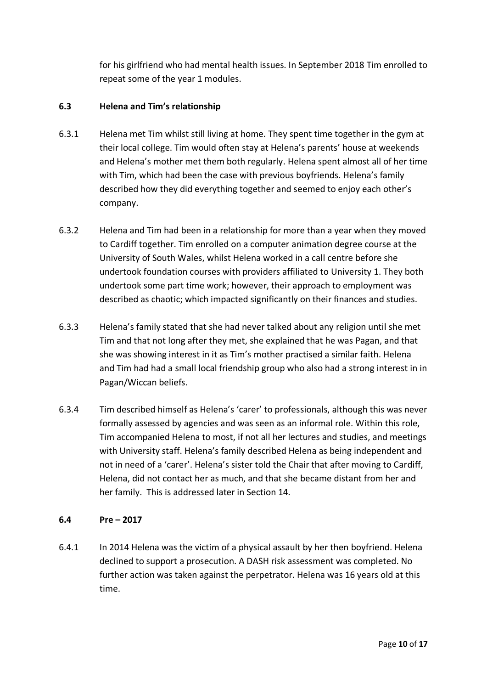for his girlfriend who had mental health issues. In September 2018 Tim enrolled to repeat some of the year 1 modules.

#### **6.3 Helena and Tim's relationship**

- 6.3.1 Helena met Tim whilst still living at home. They spent time together in the gym at their local college. Tim would often stay at Helena's parents' house at weekends and Helena's mother met them both regularly. Helena spent almost all of her time with Tim, which had been the case with previous boyfriends. Helena's family described how they did everything together and seemed to enjoy each other's company.
- 6.3.2 Helena and Tim had been in a relationship for more than a year when they moved to Cardiff together. Tim enrolled on a computer animation degree course at the University of South Wales, whilst Helena worked in a call centre before she undertook foundation courses with providers affiliated to University 1. They both undertook some part time work; however, their approach to employment was described as chaotic; which impacted significantly on their finances and studies.
- 6.3.3 Helena's family stated that she had never talked about any religion until she met Tim and that not long after they met, she explained that he was Pagan, and that she was showing interest in it as Tim's mother practised a similar faith. Helena and Tim had had a small local friendship group who also had a strong interest in in Pagan/Wiccan beliefs.
- 6.3.4 Tim described himself as Helena's 'carer' to professionals, although this was never formally assessed by agencies and was seen as an informal role. Within this role, Tim accompanied Helena to most, if not all her lectures and studies, and meetings with University staff. Helena's family described Helena as being independent and not in need of a 'carer'. Helena's sister told the Chair that after moving to Cardiff, Helena, did not contact her as much, and that she became distant from her and her family. This is addressed later in Section 14.

#### **6.4 Pre – 2017**

6.4.1 In 2014 Helena was the victim of a physical assault by her then boyfriend. Helena declined to support a prosecution. A DASH risk assessment was completed. No further action was taken against the perpetrator. Helena was 16 years old at this time.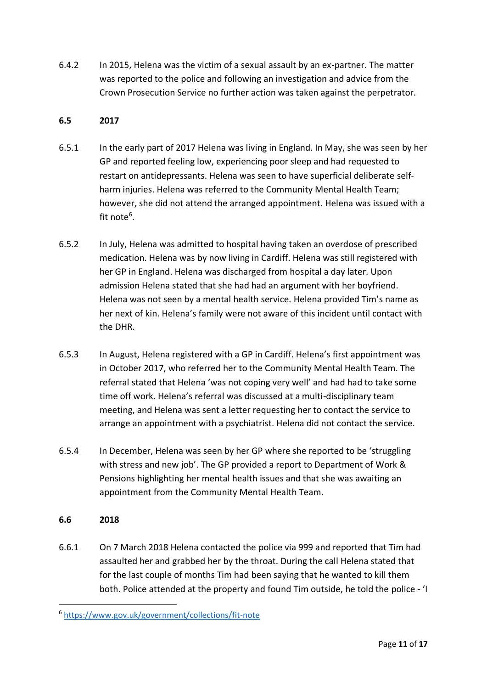6.4.2 In 2015, Helena was the victim of a sexual assault by an ex-partner. The matter was reported to the police and following an investigation and advice from the Crown Prosecution Service no further action was taken against the perpetrator.

#### **6.5 2017**

- 6.5.1 In the early part of 2017 Helena was living in England. In May, she was seen by her GP and reported feeling low, experiencing poor sleep and had requested to restart on antidepressants. Helena was seen to have superficial deliberate selfharm injuries. Helena was referred to the Community Mental Health Team; however, she did not attend the arranged appointment. Helena was issued with a fit note<sup>6</sup>.
- 6.5.2 In July, Helena was admitted to hospital having taken an overdose of prescribed medication. Helena was by now living in Cardiff. Helena was still registered with her GP in England. Helena was discharged from hospital a day later. Upon admission Helena stated that she had had an argument with her boyfriend. Helena was not seen by a mental health service. Helena provided Tim's name as her next of kin. Helena's family were not aware of this incident until contact with the DHR.
- 6.5.3 In August, Helena registered with a GP in Cardiff. Helena's first appointment was in October 2017, who referred her to the Community Mental Health Team. The referral stated that Helena 'was not coping very well' and had had to take some time off work. Helena's referral was discussed at a multi-disciplinary team meeting, and Helena was sent a letter requesting her to contact the service to arrange an appointment with a psychiatrist. Helena did not contact the service.
- 6.5.4 In December, Helena was seen by her GP where she reported to be 'struggling with stress and new job'. The GP provided a report to Department of Work & Pensions highlighting her mental health issues and that she was awaiting an appointment from the Community Mental Health Team.

#### **6.6 2018**

6.6.1 On 7 March 2018 Helena contacted the police via 999 and reported that Tim had assaulted her and grabbed her by the throat. During the call Helena stated that for the last couple of months Tim had been saying that he wanted to kill them both. Police attended at the property and found Tim outside, he told the police - 'I

<sup>6</sup> <https://www.gov.uk/government/collections/fit-note>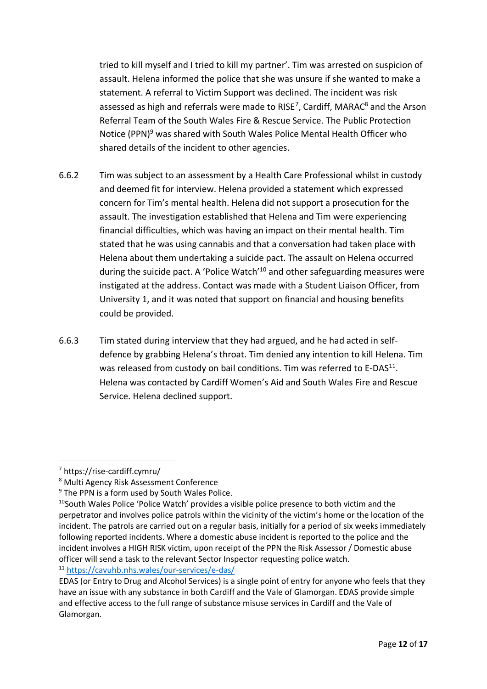tried to kill myself and I tried to kill my partner'. Tim was arrested on suspicion of assault. Helena informed the police that she was unsure if she wanted to make a statement. A referral to Victim Support was declined. The incident was risk assessed as high and referrals were made to RISE<sup>7</sup>, Cardiff, MARAC<sup>8</sup> and the Arson Referral Team of the South Wales Fire & Rescue Service. The Public Protection Notice (PPN)<sup>9</sup> was shared with South Wales Police Mental Health Officer who shared details of the incident to other agencies.

- 6.6.2 Tim was subject to an assessment by a Health Care Professional whilst in custody and deemed fit for interview. Helena provided a statement which expressed concern for Tim's mental health. Helena did not support a prosecution for the assault. The investigation established that Helena and Tim were experiencing financial difficulties, which was having an impact on their mental health. Tim stated that he was using cannabis and that a conversation had taken place with Helena about them undertaking a suicide pact. The assault on Helena occurred during the suicide pact. A 'Police Watch'<sup>10</sup> and other safeguarding measures were instigated at the address. Contact was made with a Student Liaison Officer, from University 1, and it was noted that support on financial and housing benefits could be provided.
- 6.6.3 Tim stated during interview that they had argued, and he had acted in selfdefence by grabbing Helena's throat. Tim denied any intention to kill Helena. Tim was released from custody on bail conditions. Tim was referred to E-DAS $^{11}$ . Helena was contacted by Cardiff Women's Aid and South Wales Fire and Rescue Service. Helena declined support.

<sup>11</sup> <https://cavuhb.nhs.wales/our-services/e-das/>

<sup>7</sup> https://rise-cardiff.cymru/

<sup>8</sup> Multi Agency Risk Assessment Conference

<sup>&</sup>lt;sup>9</sup> The PPN is a form used by South Wales Police.

 $10$ South Wales Police 'Police Watch' provides a visible police presence to both victim and the perpetrator and involves police patrols within the vicinity of the victim's home or the location of the incident. The patrols are carried out on a regular basis, initially for a period of six weeks immediately following reported incidents. Where a domestic abuse incident is reported to the police and the incident involves a HIGH RISK victim, upon receipt of the PPN the Risk Assessor / Domestic abuse officer will send a task to the relevant Sector Inspector requesting police watch.

EDAS (or Entry to Drug and Alcohol Services) is a single point of entry for anyone who feels that they have an issue with any substance in both Cardiff and the Vale of Glamorgan. EDAS provide simple and effective access to the full range of substance misuse services in Cardiff and the Vale of Glamorgan.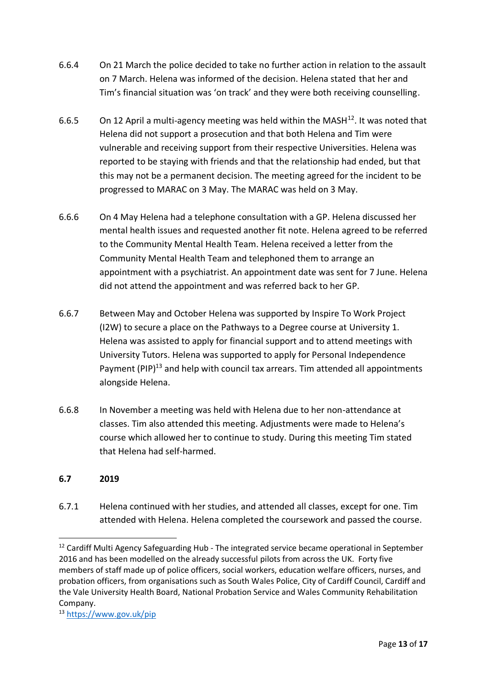- 6.6.4 On 21 March the police decided to take no further action in relation to the assault on 7 March. Helena was informed of the decision. Helena stated that her and Tim's financial situation was 'on track' and they were both receiving counselling.
- 6.6.5 On 12 April a multi-agency meeting was held within the MASH $^{12}$ . It was noted that Helena did not support a prosecution and that both Helena and Tim were vulnerable and receiving support from their respective Universities. Helena was reported to be staying with friends and that the relationship had ended, but that this may not be a permanent decision. The meeting agreed for the incident to be progressed to MARAC on 3 May. The MARAC was held on 3 May.
- 6.6.6 On 4 May Helena had a telephone consultation with a GP. Helena discussed her mental health issues and requested another fit note. Helena agreed to be referred to the Community Mental Health Team. Helena received a letter from the Community Mental Health Team and telephoned them to arrange an appointment with a psychiatrist. An appointment date was sent for 7 June. Helena did not attend the appointment and was referred back to her GP.
- 6.6.7 Between May and October Helena was supported by Inspire To Work Project (I2W) to secure a place on the Pathways to a Degree course at University 1. Helena was assisted to apply for financial support and to attend meetings with University Tutors. Helena was supported to apply for Personal Independence Pavment (PIP)<sup>13</sup> and help with council tax arrears. Tim attended all appointments alongside Helena.
- 6.6.8 In November a meeting was held with Helena due to her non-attendance at classes. Tim also attended this meeting. Adjustments were made to Helena's course which allowed her to continue to study. During this meeting Tim stated that Helena had self-harmed.

# **6.7 2019**

6.7.1 Helena continued with her studies, and attended all classes, except for one. Tim attended with Helena. Helena completed the coursework and passed the course.

<sup>&</sup>lt;sup>12</sup> Cardiff Multi Agency Safeguarding Hub - The integrated service became operational in September 2016 and has been modelled on the already successful pilots from across the UK. Forty five members of staff made up of police officers, social workers, education welfare officers, nurses, and probation officers, from organisations such as South Wales Police, City of Cardiff Council, Cardiff and the Vale University Health Board, National Probation Service and Wales Community Rehabilitation Company.

<sup>13</sup> <https://www.gov.uk/pip>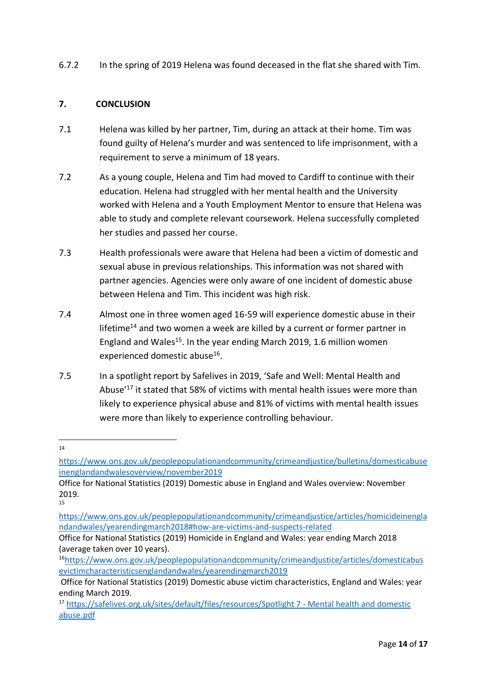6.7.2 In the spring of 2019 Helena was found deceased in the flat she shared with Tim.

#### **7. CONCLUSION**

- 7.1 Helena was killed by her partner, Tim, during an attack at their home. Tim was found guilty of Helena's murder and was sentenced to life imprisonment, with a requirement to serve a minimum of 18 years.
- 7.2 As a young couple, Helena and Tim had moved to Cardiff to continue with their education. Helena had struggled with her mental health and the University worked with Helena and a Youth Employment Mentor to ensure that Helena was able to study and complete relevant coursework. Helena successfully completed her studies and passed her course.
- 7.3 Health professionals were aware that Helena had been a victim of domestic and sexual abuse in previous relationships. This information was not shared with partner agencies. Agencies were only aware of one incident of domestic abuse between Helena and Tim. This incident was high risk.
- 7.4 Almost one in three women aged 16-59 will experience domestic abuse in their lifetime<sup>14</sup> and two women a week are killed by a current or former partner in England and Wales<sup>15</sup>. In the year ending March 2019, 1.6 million women experienced domestic abuse<sup>16</sup>.
- 7.5 In a spotlight report by Safelives in 2019, 'Safe and Well: Mental Health and Abuse'<sup>17</sup> it stated that 58% of victims with mental health issues were more than likely to experience physical abuse and 81% of victims with mental health issues were more than likely to experience controlling behaviour.

<sup>14</sup>

[https://www.ons.gov.uk/peoplepopulationandcommunity/crimeandjustice/bulletins/domesticabuse](https://www.ons.gov.uk/peoplepopulationandcommunity/crimeandjustice/bulletins/domesticabuseinenglandandwalesoverview/november2019) [inenglandandwalesoverview/november2019](https://www.ons.gov.uk/peoplepopulationandcommunity/crimeandjustice/bulletins/domesticabuseinenglandandwalesoverview/november2019)

Office for National Statistics (2019) Domestic abuse in England and Wales overview: November 2019.

<sup>15</sup>

[https://www.ons.gov.uk/peoplepopulationandcommunity/crimeandjustice/articles/homicideinengla](https://www.ons.gov.uk/peoplepopulationandcommunity/crimeandjustice/articles/homicideinenglandandwales/yearendingmarch2018#how-are-victims-and-suspects-related) [ndandwales/yearendingmarch2018#how-are-victims-and-suspects-related](https://www.ons.gov.uk/peoplepopulationandcommunity/crimeandjustice/articles/homicideinenglandandwales/yearendingmarch2018#how-are-victims-and-suspects-related)

Office for National Statistics (2019) Homicide in England and Wales: year ending March 2018 (average taken over 10 years).

<sup>16</sup>[https://www.ons.gov.uk/peoplepopulationandcommunity/crimeandjustice/articles/domesticabus](https://www.ons.gov.uk/peoplepopulationandcommunity/crimeandjustice/articles/domesticabusevictimcharacteristicsenglandandwales/yearendingmarch2019) [evictimcharacteristicsenglandandwales/yearendingmarch2019](https://www.ons.gov.uk/peoplepopulationandcommunity/crimeandjustice/articles/domesticabusevictimcharacteristicsenglandandwales/yearendingmarch2019)

Office for National Statistics (2019) Domestic abuse victim characteristics, England and Wales: year ending March 2019.

<sup>17</sup> [https://safelives.org.uk/sites/default/files/resources/Spotlight 7 -](https://safelives.org.uk/sites/default/files/resources/Spotlight%207%20-%20Mental%20health%20and%20domestic%20abuse.pdf) Mental health and domestic [abuse.pdf](https://safelives.org.uk/sites/default/files/resources/Spotlight%207%20-%20Mental%20health%20and%20domestic%20abuse.pdf)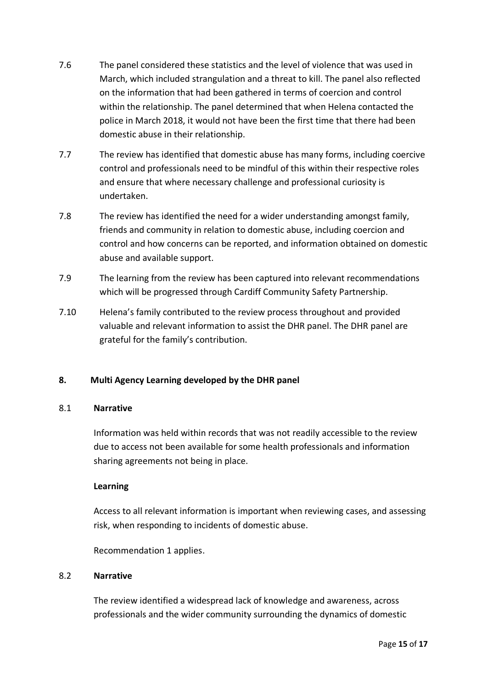- 7.6 The panel considered these statistics and the level of violence that was used in March, which included strangulation and a threat to kill. The panel also reflected on the information that had been gathered in terms of coercion and control within the relationship. The panel determined that when Helena contacted the police in March 2018, it would not have been the first time that there had been domestic abuse in their relationship.
- 7.7 The review has identified that domestic abuse has many forms, including coercive control and professionals need to be mindful of this within their respective roles and ensure that where necessary challenge and professional curiosity is undertaken.
- 7.8 The review has identified the need for a wider understanding amongst family, friends and community in relation to domestic abuse, including coercion and control and how concerns can be reported, and information obtained on domestic abuse and available support.
- 7.9 The learning from the review has been captured into relevant recommendations which will be progressed through Cardiff Community Safety Partnership.
- 7.10 Helena's family contributed to the review process throughout and provided valuable and relevant information to assist the DHR panel. The DHR panel are grateful for the family's contribution.

## **8. Multi Agency Learning developed by the DHR panel**

#### 8.1 **Narrative**

Information was held within records that was not readily accessible to the review due to access not been available for some health professionals and information sharing agreements not being in place.

#### **Learning**

Access to all relevant information is important when reviewing cases, and assessing risk, when responding to incidents of domestic abuse.

Recommendation 1 applies.

#### 8.2 **Narrative**

The review identified a widespread lack of knowledge and awareness, across professionals and the wider community surrounding the dynamics of domestic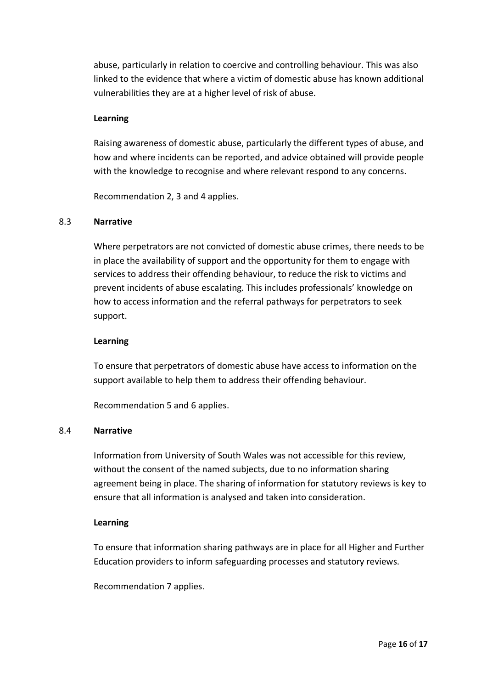abuse, particularly in relation to coercive and controlling behaviour. This was also linked to the evidence that where a victim of domestic abuse has known additional vulnerabilities they are at a higher level of risk of abuse.

#### **Learning**

Raising awareness of domestic abuse, particularly the different types of abuse, and how and where incidents can be reported, and advice obtained will provide people with the knowledge to recognise and where relevant respond to any concerns.

Recommendation 2, 3 and 4 applies.

#### 8.3 **Narrative**

Where perpetrators are not convicted of domestic abuse crimes, there needs to be in place the availability of support and the opportunity for them to engage with services to address their offending behaviour, to reduce the risk to victims and prevent incidents of abuse escalating. This includes professionals' knowledge on how to access information and the referral pathways for perpetrators to seek support.

#### **Learning**

To ensure that perpetrators of domestic abuse have access to information on the support available to help them to address their offending behaviour.

Recommendation 5 and 6 applies.

#### 8.4 **Narrative**

Information from University of South Wales was not accessible for this review, without the consent of the named subjects, due to no information sharing agreement being in place. The sharing of information for statutory reviews is key to ensure that all information is analysed and taken into consideration.

#### **Learning**

To ensure that information sharing pathways are in place for all Higher and Further Education providers to inform safeguarding processes and statutory reviews.

Recommendation 7 applies.